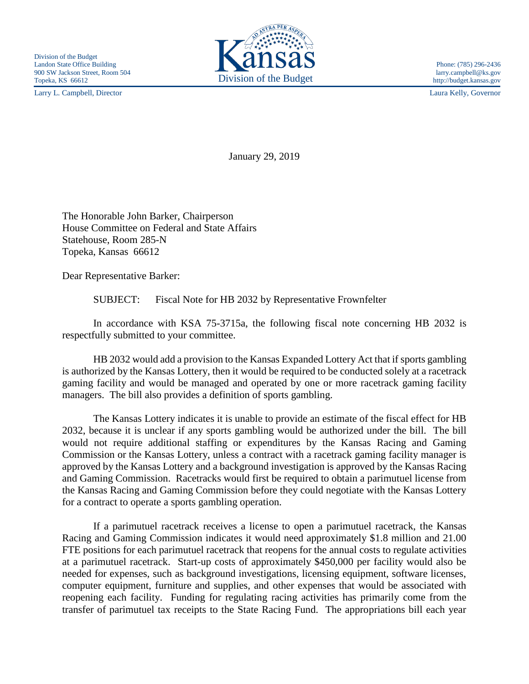Larry L. Campbell, Director Laura Kelly, Governor



http://budget.kansas.gov

January 29, 2019

The Honorable John Barker, Chairperson House Committee on Federal and State Affairs Statehouse, Room 285-N Topeka, Kansas 66612

Dear Representative Barker:

SUBJECT: Fiscal Note for HB 2032 by Representative Frownfelter

In accordance with KSA 75-3715a, the following fiscal note concerning HB 2032 is respectfully submitted to your committee.

HB 2032 would add a provision to the Kansas Expanded Lottery Act that if sports gambling is authorized by the Kansas Lottery, then it would be required to be conducted solely at a racetrack gaming facility and would be managed and operated by one or more racetrack gaming facility managers. The bill also provides a definition of sports gambling.

The Kansas Lottery indicates it is unable to provide an estimate of the fiscal effect for HB 2032, because it is unclear if any sports gambling would be authorized under the bill. The bill would not require additional staffing or expenditures by the Kansas Racing and Gaming Commission or the Kansas Lottery, unless a contract with a racetrack gaming facility manager is approved by the Kansas Lottery and a background investigation is approved by the Kansas Racing and Gaming Commission. Racetracks would first be required to obtain a parimutuel license from the Kansas Racing and Gaming Commission before they could negotiate with the Kansas Lottery for a contract to operate a sports gambling operation.

If a parimutuel racetrack receives a license to open a parimutuel racetrack, the Kansas Racing and Gaming Commission indicates it would need approximately \$1.8 million and 21.00 FTE positions for each parimutuel racetrack that reopens for the annual costs to regulate activities at a parimutuel racetrack. Start-up costs of approximately \$450,000 per facility would also be needed for expenses, such as background investigations, licensing equipment, software licenses, computer equipment, furniture and supplies, and other expenses that would be associated with reopening each facility. Funding for regulating racing activities has primarily come from the transfer of parimutuel tax receipts to the State Racing Fund. The appropriations bill each year